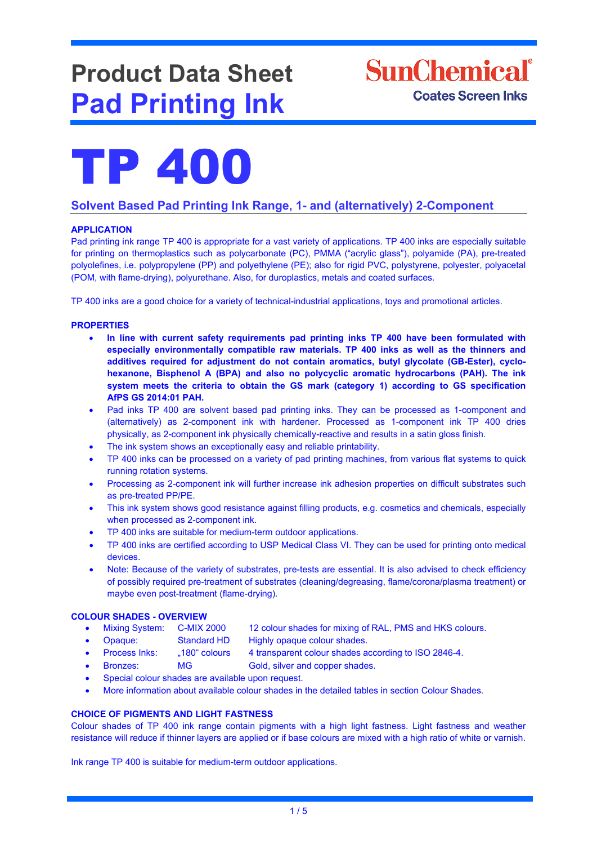# **Product Data Sheet Pad Printing Ink**





## **Solvent Based Pad Printing Ink Range, 1- and (alternatively) 2-Component**

### **APPLICATION**

Pad printing ink range TP 400 is appropriate for a vast variety of applications. TP 400 inks are especially suitable for printing on thermoplastics such as polycarbonate (PC), PMMA ("acrylic glass"), polyamide (PA), pre-treated polyolefines, i.e. polypropylene (PP) and polyethylene (PE); also for rigid PVC, polystyrene, polyester, polyacetal (POM, with flame-drying), polyurethane. Also, for duroplastics, metals and coated surfaces.

TP 400 inks are a good choice for a variety of technical-industrial applications, toys and promotional articles.

#### **PROPERTIES**

- **In line with current safety requirements pad printing inks TP 400 have been formulated with especially environmentally compatible raw materials. TP 400 inks as well as the thinners and additives required for adjustment do not contain aromatics, butyl glycolate (GB-Ester), cyclohexanone, Bisphenol A (BPA) and also no polycyclic aromatic hydrocarbons (PAH). The ink system meets the criteria to obtain the GS mark (category 1) according to GS specification AfPS GS 2014:01 PAH.**
- Pad inks TP 400 are solvent based pad printing inks. They can be processed as 1-component and (alternatively) as 2-component ink with hardener. Processed as 1-component ink TP 400 dries physically, as 2-component ink physically chemically-reactive and results in a satin gloss finish.
- The ink system shows an exceptionally easy and reliable printability.
- TP 400 inks can be processed on a variety of pad printing machines, from various flat systems to quick running rotation systems.
- Processing as 2-component ink will further increase ink adhesion properties on difficult substrates such as pre-treated PP/PE.
- This ink system shows good resistance against filling products, e.g. cosmetics and chemicals, especially when processed as 2-component ink.
- TP 400 inks are suitable for medium-term outdoor applications.
- TP 400 inks are certified according to USP Medical Class VI. They can be used for printing onto medical devices.
- Note: Because of the variety of substrates, pre-tests are essential. It is also advised to check efficiency of possibly required pre-treatment of substrates (cleaning/degreasing, flame/corona/plasma treatment) or maybe even post-treatment (flame-drying).

#### **COLOUR SHADES - OVERVIEW**

- Mixing System: C-MIX 2000 12 colour shades for mixing of RAL, PMS and HKS colours.
- Opaque: Standard HD Highly opaque colour shades.
	-
- Process Inks: "180" colours 4 transparent colour shades according to ISO 2846-4.
- **Bronzes:** MG Gold, silver and copper shades.
- Special colour shades are available upon request.
- More information about available colour shades in the detailed tables in section Colour Shades.

#### **CHOICE OF PIGMENTS AND LIGHT FASTNESS**

Colour shades of TP 400 ink range contain pigments with a high light fastness. Light fastness and weather resistance will reduce if thinner layers are applied or if base colours are mixed with a high ratio of white or varnish.

Ink range TP 400 is suitable for medium-term outdoor applications.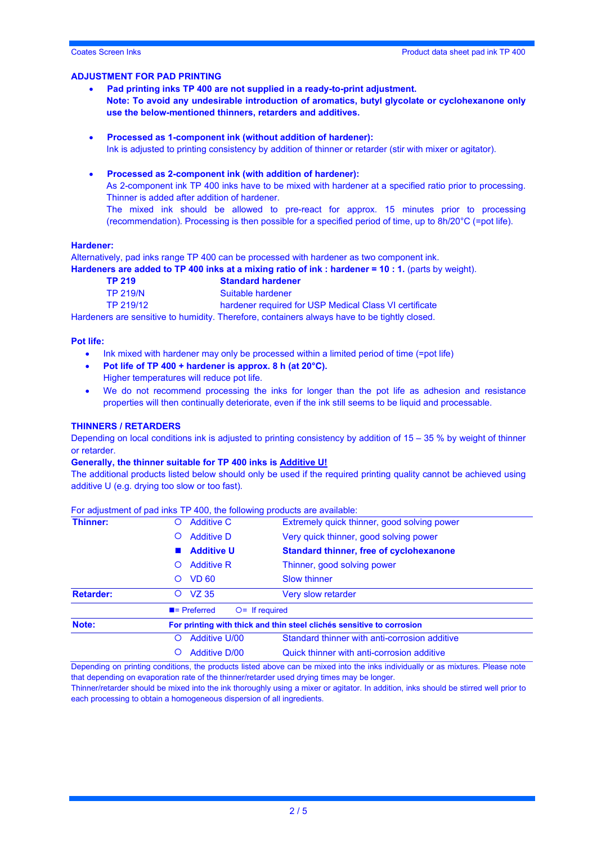#### **ADJUSTMENT FOR PAD PRINTING**

- **Pad printing inks TP 400 are not supplied in a ready-to-print adjustment. Note: To avoid any undesirable introduction of aromatics, butyl glycolate or cyclohexanone only use the below-mentioned thinners, retarders and additives.**
- **Processed as 1-component ink (without addition of hardener):** Ink is adjusted to printing consistency by addition of thinner or retarder (stir with mixer or agitator).

#### • **Processed as 2-component ink (with addition of hardener):**

As 2-component ink TP 400 inks have to be mixed with hardener at a specified ratio prior to processing. Thinner is added after addition of hardener.

The mixed ink should be allowed to pre-react for approx. 15 minutes prior to processing (recommendation). Processing is then possible for a specified period of time, up to 8h/20°C (=pot life).

#### **Hardener:**

Alternatively, pad inks range TP 400 can be processed with hardener as two component ink. **Hardeners are added to TP 400 inks at a mixing ratio of ink : hardener = 10 : 1.** (parts by weight).

| TP 219          | <b>Standard hardener</b>                               |
|-----------------|--------------------------------------------------------|
| <b>TP 219/N</b> | Suitable hardener                                      |
| TP 219/12       | hardener required for USP Medical Class VI certificate |
|                 |                                                        |

Hardeners are sensitive to humidity. Therefore, containers always have to be tightly closed.

#### **Pot life:**

- Ink mixed with hardener may only be processed within a limited period of time (=pot life)
- **Pot life of TP 400 + hardener is approx. 8 h (at 20°C).**
- Higher temperatures will reduce pot life.
- We do not recommend processing the inks for longer than the pot life as adhesion and resistance properties will then continually deteriorate, even if the ink still seems to be liquid and processable.

#### **THINNERS / RETARDERS**

Depending on local conditions ink is adjusted to printing consistency by addition of 15 – 35 % by weight of thinner or retarder.

#### **Generally, the thinner suitable for TP 400 inks is Additive U!**

The additional products listed below should only be used if the required printing quality cannot be achieved using additive U (e.g. drying too slow or too fast).

| Thinner:         | <b>Additive C</b><br>O                                                |                                               | Extremely quick thinner, good solving power    |  |  |  |
|------------------|-----------------------------------------------------------------------|-----------------------------------------------|------------------------------------------------|--|--|--|
|                  | O                                                                     | <b>Additive D</b>                             | Very quick thinner, good solving power         |  |  |  |
|                  |                                                                       | <b>Additive U</b>                             | <b>Standard thinner, free of cyclohexanone</b> |  |  |  |
|                  | $\Omega$                                                              | <b>Additive R</b>                             | Thinner, good solving power                    |  |  |  |
|                  | Ő                                                                     | <b>VD 60</b>                                  | <b>Slow thinner</b>                            |  |  |  |
| <b>Retarder:</b> | $\circ$                                                               | VZ 35                                         | Very slow retarder                             |  |  |  |
|                  |                                                                       | $\blacksquare$ Preferred<br>$O =$ If required |                                                |  |  |  |
| Note:            | For printing with thick and thin steel clichés sensitive to corrosion |                                               |                                                |  |  |  |
|                  | O                                                                     | <b>Additive U/00</b>                          | Standard thinner with anti-corrosion additive  |  |  |  |
|                  | O                                                                     | <b>Additive D/00</b>                          | Quick thinner with anti-corrosion additive     |  |  |  |

For adjustment of pad inks TP 400, the following products are available:

Depending on printing conditions, the products listed above can be mixed into the inks individually or as mixtures. Please note that depending on evaporation rate of the thinner/retarder used drying times may be longer.

Thinner/retarder should be mixed into the ink thoroughly using a mixer or agitator. In addition, inks should be stirred well prior to each processing to obtain a homogeneous dispersion of all ingredients.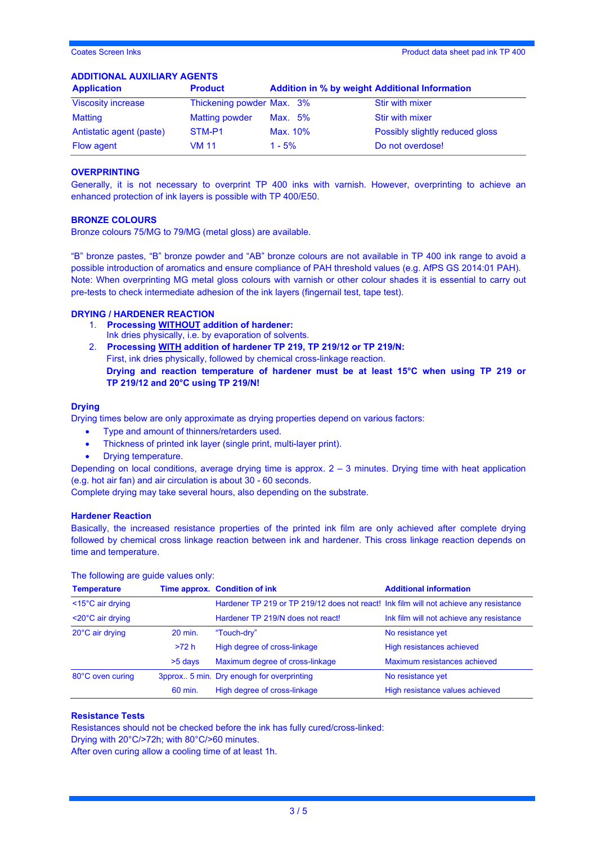#### **ADDITIONAL AUXILIARY AGENTS**

| <b>Application</b>        | <b>Product</b>            | <b>Addition in % by weight Additional Information</b> |                                 |  |
|---------------------------|---------------------------|-------------------------------------------------------|---------------------------------|--|
| <b>Viscosity increase</b> | Thickening powder Max. 3% |                                                       | Stir with mixer                 |  |
| Matting                   | <b>Matting powder</b>     | Max. 5%                                               | Stir with mixer                 |  |
| Antistatic agent (paste)  | STM-P1                    | Max. 10%                                              | Possibly slightly reduced gloss |  |
| <b>Flow agent</b>         | VM 11                     | $1 - 5%$                                              | Do not overdose!                |  |

#### **OVERPRINTING**

Generally, it is not necessary to overprint TP 400 inks with varnish. However, overprinting to achieve an enhanced protection of ink layers is possible with TP 400/E50.

#### **BRONZE COLOURS**

Bronze colours 75/MG to 79/MG (metal gloss) are available.

"B" bronze pastes, "B" bronze powder and "AB" bronze colours are not available in TP 400 ink range to avoid a possible introduction of aromatics and ensure compliance of PAH threshold values (e.g. AfPS GS 2014:01 PAH). Note: When overprinting MG metal gloss colours with varnish or other colour shades it is essential to carry out pre-tests to check intermediate adhesion of the ink layers (fingernail test, tape test).

#### **DRYING / HARDENER REACTION**

- 1. **Processing WITHOUT addition of hardener:** Ink dries physically, i.e. by evaporation of solvents.
- 2. **Processing WITH addition of hardener TP 219, TP 219/12 or TP 219/N:** First, ink dries physically, followed by chemical cross-linkage reaction. **Drying and reaction temperature of hardener must be at least 15°C when using TP 219 or TP 219/12 and 20°C using TP 219/N!**

#### **Drying**

Drying times below are only approximate as drying properties depend on various factors:

- Type and amount of thinners/retarders used.
- Thickness of printed ink layer (single print, multi-layer print).
- Drying temperature.

Depending on local conditions, average drying time is approx. 2 – 3 minutes. Drying time with heat application (e.g. hot air fan) and air circulation is about 30 - 60 seconds.

Complete drying may take several hours, also depending on the substrate.

#### **Hardener Reaction**

Basically, the increased resistance properties of the printed ink film are only achieved after complete drying followed by chemical cross linkage reaction between ink and hardener. This cross linkage reaction depends on time and temperature.

| <b>Temperature</b>             |         | Time approx. Condition of ink                                                         | <b>Additional information</b>            |  |
|--------------------------------|---------|---------------------------------------------------------------------------------------|------------------------------------------|--|
| $<$ 15 $^{\circ}$ C air drying |         | Hardener TP 219 or TP 219/12 does not react! Ink film will not achieve any resistance |                                          |  |
| $<$ 20 $^{\circ}$ C air drying |         | Hardener TP 219/N does not react!                                                     | Ink film will not achieve any resistance |  |
| 20°C air drying                | 20 min. | "Touch-dry"                                                                           | No resistance yet                        |  |
|                                | >72 h   | High degree of cross-linkage                                                          | High resistances achieved                |  |
|                                | >5 days | Maximum degree of cross-linkage                                                       | Maximum resistances achieved             |  |
| 80°C oven curing               |         | 3pprox 5 min. Dry enough for overprinting                                             | No resistance yet                        |  |
|                                | 60 min. | High degree of cross-linkage                                                          | High resistance values achieved          |  |

The following are guide values only:

#### **Resistance Tests**

Resistances should not be checked before the ink has fully cured/cross-linked:

Drying with 20°C/>72h; with 80°C/>60 minutes.

After oven curing allow a cooling time of at least 1h.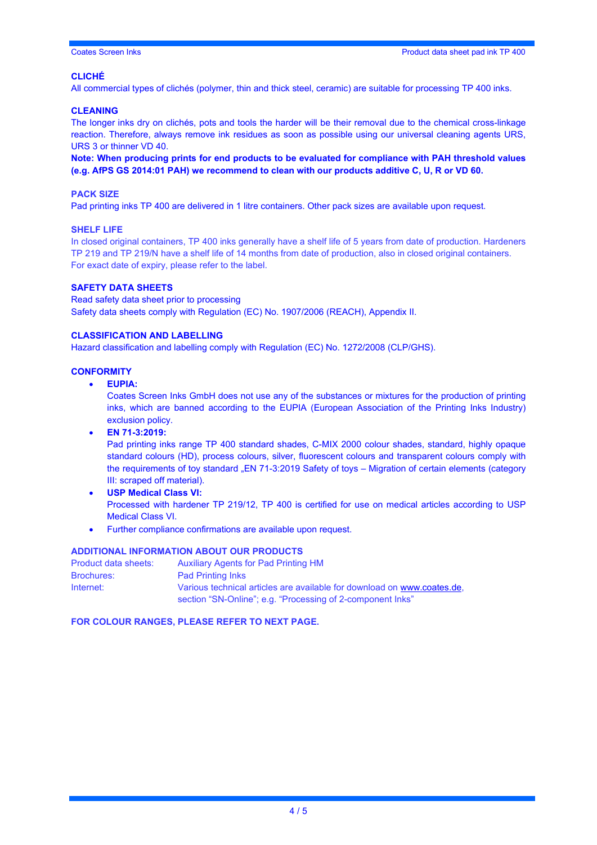#### **CLICHÉ**

All commercial types of clichés (polymer, thin and thick steel, ceramic) are suitable for processing TP 400 inks.

#### **CLEANING**

The longer inks dry on clichés, pots and tools the harder will be their removal due to the chemical cross-linkage reaction. Therefore, always remove ink residues as soon as possible using our universal cleaning agents URS, URS 3 or thinner VD 40.

**Note: When producing prints for end products to be evaluated for compliance with PAH threshold values (e.g. AfPS GS 2014:01 PAH) we recommend to clean with our products additive C, U, R or VD 60.** 

#### **PACK SIZE**

Pad printing inks TP 400 are delivered in 1 litre containers. Other pack sizes are available upon request.

#### **SHELF LIFE**

In closed original containers, TP 400 inks generally have a shelf life of 5 years from date of production. Hardeners TP 219 and TP 219/N have a shelf life of 14 months from date of production, also in closed original containers. For exact date of expiry, please refer to the label.

#### **SAFETY DATA SHEETS**

Read safety data sheet prior to processing Safety data sheets comply with Regulation (EC) No. 1907/2006 (REACH), Appendix II.

#### **CLASSIFICATION AND LABELLING**

Hazard classification and labelling comply with Regulation (EC) No. 1272/2008 (CLP/GHS).

#### **CONFORMITY**

• **EUPIA:**

Coates Screen Inks GmbH does not use any of the substances or mixtures for the production of printing inks, which are banned according to the EUPIA (European Association of the Printing Inks Industry) exclusion policy.

• **EN 71-3:2019:**

Pad printing inks range TP 400 standard shades, C-MIX 2000 colour shades, standard, highly opaque standard colours (HD), process colours, silver, fluorescent colours and transparent colours comply with the requirements of toy standard "EN 71-3:2019 Safety of toys – Migration of certain elements (category III: scraped off material).

- **USP Medical Class VI:** Processed with hardener TP 219/12, TP 400 is certified for use on medical articles according to USP Medical Class VI.
- Further compliance confirmations are available upon request.

#### **ADDITIONAL INFORMATION ABOUT OUR PRODUCTS**

| Product data sheets: | <b>Auxiliary Agents for Pad Printing HM</b>                             |
|----------------------|-------------------------------------------------------------------------|
| <b>Brochures:</b>    | <b>Pad Printing Inks</b>                                                |
| Internet:            | Various technical articles are available for download on www.coates.de. |
|                      | section "SN-Online"; e.g. "Processing of 2-component lnks"              |

#### **FOR COLOUR RANGES, PLEASE REFER TO NEXT PAGE.**